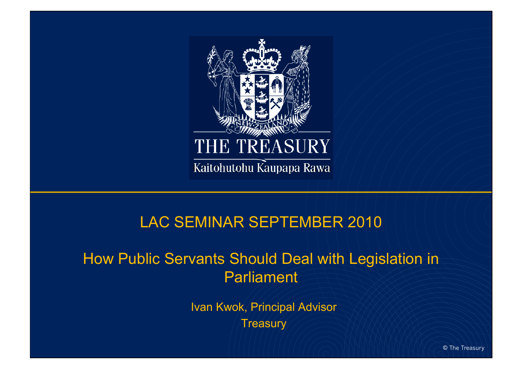

#### LAC SEMINAR SEPTEMBER 2010

#### How Public Servants Should Deal with Legislation in **Parliament**

Ivan Kwok, Principal Advisor Treasury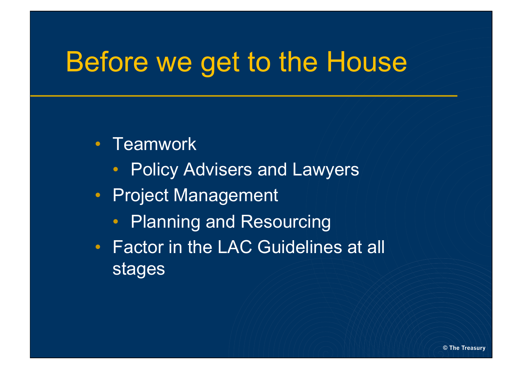#### Before we get to the House

- Teamwork
	- Policy Advisers and Lawyers
- Project Management
	- Planning and Resourcing
- Factor in the LAC Guidelines at all stages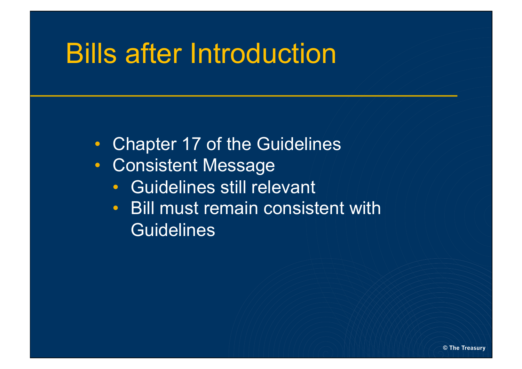#### Bills after Introduction

- Chapter 17 of the Guidelines
- Consistent Message
	- Guidelines still relevant
	- Bill must remain consistent with **Guidelines**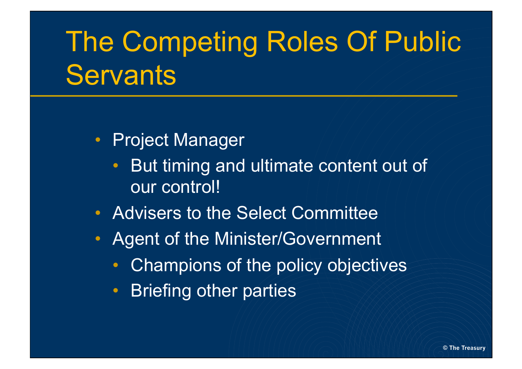# The Competing Roles Of Public **Servants**

- Project Manager
	- But timing and ultimate content out of our control!
- Advisers to the Select Committee
- Agent of the Minister/Government
	- Champions of the policy objectives
	- Briefing other parties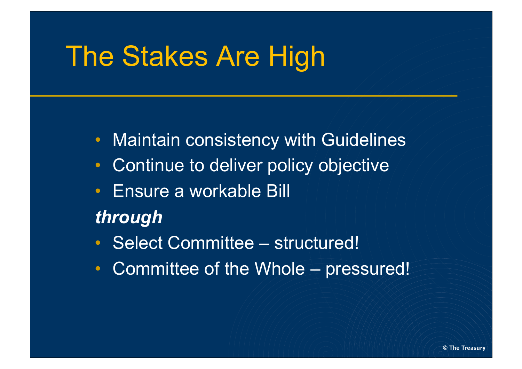#### The Stakes Are High

- Maintain consistency with Guidelines
- Continue to deliver policy objective
- Ensure a workable Bill

#### *through*

- Select Committee structured!
- Committee of the Whole pressured!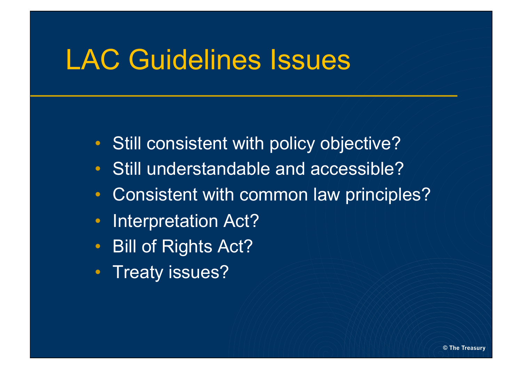#### LAC Guidelines Issues

- Still consistent with policy objective?
- Still understandable and accessible?
- Consistent with common law principles?
- Interpretation Act?
- Bill of Rights Act?
- Treaty issues?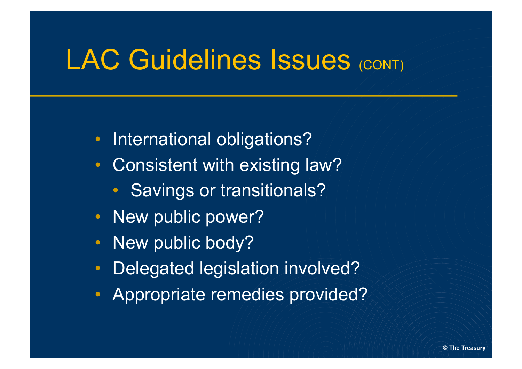#### LAC Guidelines Issues (CONT)

- International obligations?
- Consistent with existing law?
	- Savings or transitionals?
- New public power?
- New public body?
- Delegated legislation involved?
- Appropriate remedies provided?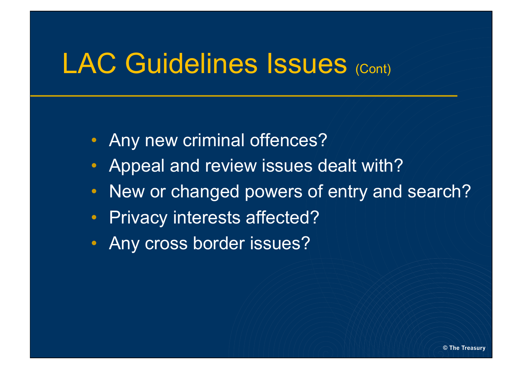#### LAC Guidelines Issues (Cont)

- Any new criminal offences?
- Appeal and review issues dealt with?
- New or changed powers of entry and search?
- Privacy interests affected?
- Any cross border issues?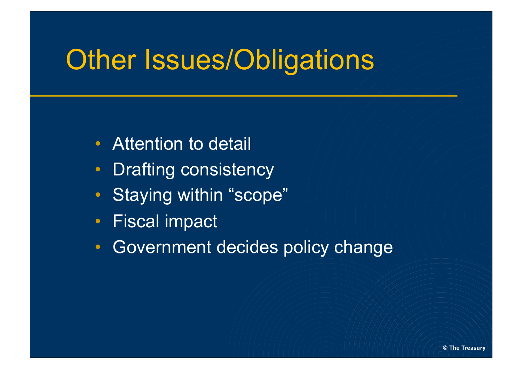### **Other Issues/Obligations**

- Attention to detail
- Drafting consistency
- Staying within "scope"
- Fiscal impact
- Government decides policy change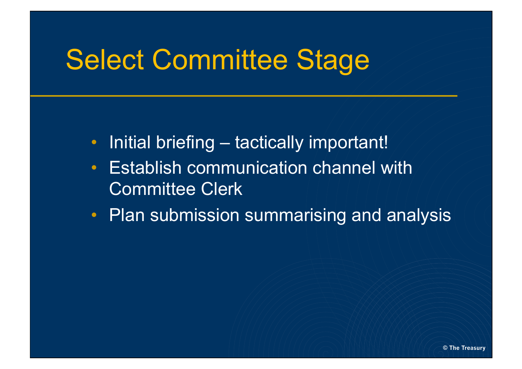## Select Committee Stage

- Initial briefing tactically important!
- Establish communication channel with Committee Clerk
- Plan submission summarising and analysis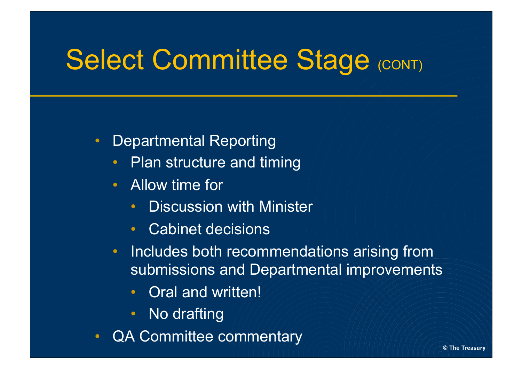## Select Committee Stage (CONT)

- Departmental Reporting
	- Plan structure and timing
	- Allow time for
		- Discussion with Minister
		- Cabinet decisions
	- Includes both recommendations arising from submissions and Departmental improvements
		- Oral and written!
		- No drafting
- QA Committee commentary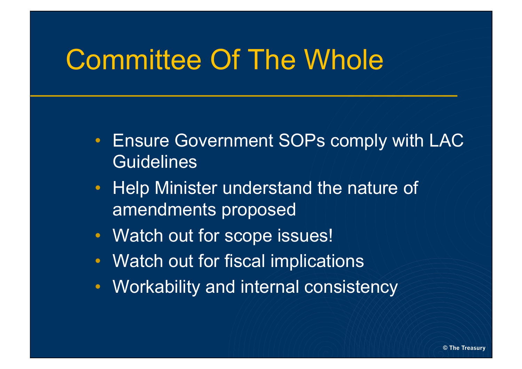### Committee Of The Whole

- Ensure Government SOPs comply with LAC **Guidelines**
- Help Minister understand the nature of amendments proposed
- Watch out for scope issues!
- Watch out for fiscal implications
- Workability and internal consistency